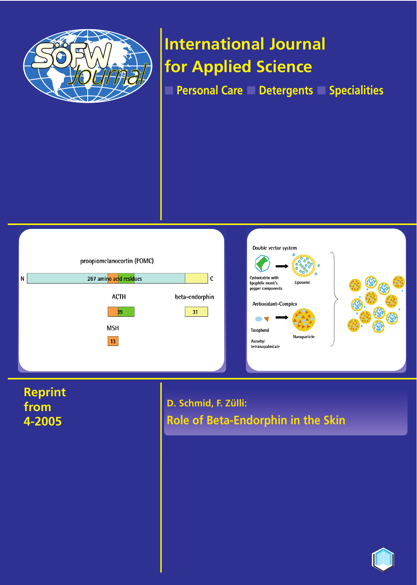

# **International Journal for Applied Science**

■ **Personal Care** ■ **Detergents** ■ **Specialities**





**Reprint from 4-2005**

**D. Schmid, F. Zülli: Role of Beta-Endorphin in the Skin**

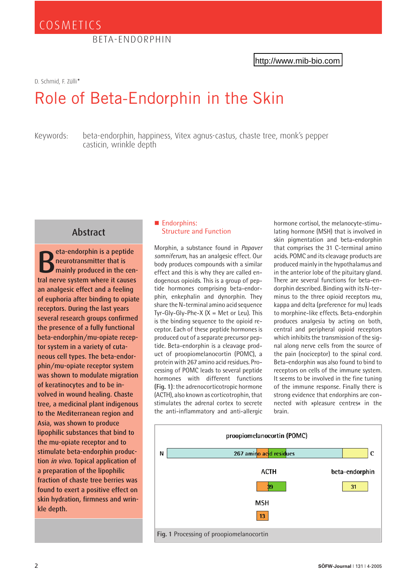D. Schmid, F. Zülli*\**

## Role of Beta-Endorphin in the [Skin](http://www.mib-bio.com)

Keywords: beta-endorphin, happiness, Vitex agnus-castus, chaste tree, monk's pepper casticin, wrinkle depth

## Abstract

B eta-endorphin is a peptide neurotransmitter that is mainly produced in the central nerve system where it causes an analgesic effect and a feeling of euphoria after binding to opiate receptors. During the last years several research groups confirmed the presence of a fully functional beta-endorphin/mu-opiate receptor system in a variety of cutaneous cell types. The beta-endorphin/mu-opiate receptor system was shown to modulate migration of keratinocytes and to be involved in wound healing. Chaste tree, a medicinal plant indigenous to the Mediterranean region and Asia, was shown to produce lipophilic substances that bind to the mu-opiate receptor and to stimulate beta-endorphin production in vivo. Topical application of a preparation of the lipophilic fraction of chaste tree berries was found to exert a positive effect on skin hydration, firmness and wrinkle depth.

#### Endorphins: Structure and Function

Morphin, a substance found in *Papaver somniferum*, has an analgesic effect. Our body produces compounds with a similar effect and this is why they are called endogenous opioids. This is a group of peptide hormones comprising beta-endorphin, enkephalin and dynorphin. They share the N-terminal amino acid sequence Tyr-Gly-Gly-Phe-X  $(X = Met or Leu)$ . This is the binding sequence to the opioid receptor. Each of these peptide hormones is produced out of a separate precursor peptide. Beta-endorphin is a cleavage product of proopiomelanocortin (POMC), a protein with 267 amino acid residues. Processing of POMC leads to several peptide hormones with different functions **(Fig. 1)**: the adrenocorticotropic hormone (ACTH), also known as corticotrophin, that stimulates the adrenal cortex to secrete the anti-inflammatory and anti-allergic

hormone cortisol, the melanocyte-stimulating hormone (MSH) that is involved in skin pigmentation and beta-endorphin that comprises the 31 C-terminal amino acids. POMC and its cleavage products are produced mainly in the hypothalamus and in the anterior lobe of the pituitary gland. There are several functions for beta-endorphin described. Binding with its N-terminus to the three opioid receptors mu, kappa and delta (preference for mu) leads to morphine-like effects. Beta-endorphin produces analgesia by acting on both, central and peripheral opioid receptors which inhibits the transmission of the signal along nerve cells from the source of the pain (nociceptor) to the spinal cord. Beta-endorphin was also found to bind to receptors on cells of the immune system. It seems to be involved in the fine tuning of the immune response. Finally there is strong evidence that endorphins are connected with »pleasure centres« in the brain.

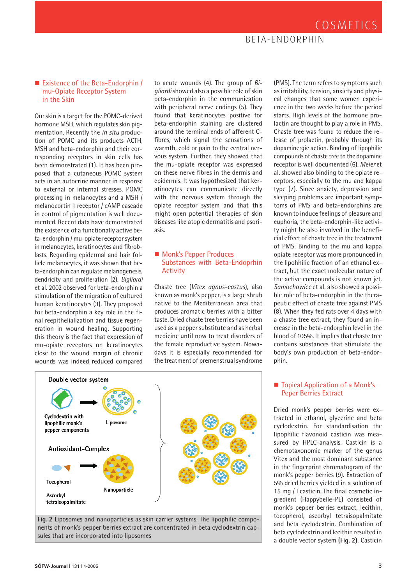## BETA-ENDORPHIN

#### ■ Existence of the Beta-Endorphin / mu-Opiate Receptor System in the Skin

Our skin is a target for the POMC-derived hormone MSH, which regulates skin pigmentation. Recently the *in situ* production of POMC and its products ACTH, MSH and beta-endorphin and their corresponding receptors in skin cells has been demonstrated (1). It has been proposed that a cutaneous POMC system acts in an autocrine manner in response to external or internal stresses. POMC processing in melanocytes and a MSH / melanocortin 1 receptor / cAMP cascade in control of pigmentation is well documented. Recent data have demonstrated the existence of a functionally active beta-endorphin / mu-opiate receptor system in melanocytes, keratinocytes and fibroblasts. Regarding epidermal and hair follicle melanocytes, it was shown that beta-endorphin can regulate melanogenesis, dendricity and proliferation (2). *Bigliardi* et al. 2002 observed for beta-endorphin a stimulation of the migration of cultured human keratinocytes (3). They proposed for beta-endorphin a key role in the final reepithelialization and tissue regeneration in wound healing. Supporting this theory is the fact that expression of mu-opiate receptors on keratinocytes close to the wound margin of chronic wounds was indeed reduced compared to acute wounds (4). The group of *Bigliardi* showed also a possible role of skin beta-endorphin in the communication with peripheral nerve endings (5). They found that keratinocytes positive for beta-endorphin staining are clustered around the terminal ends of afferent Cfibres, which signal the sensations of warmth, cold or pain to the central nervous system. Further, they showed that the mu-opiate receptor was expressed on these nerve fibres in the dermis and epidermis. It was hypothesized that keratinocytes can communicate directly with the nervous system through the opiate receptor system and that this might open potential therapies of skin diseases like atopic dermatitis and psoriasis.

#### **Monk's Pepper Produces** Substances with Beta-Endoprhin Activity

Chaste tree (*Vitex agnus-castus*), also known as monk's pepper, is a large shrub native to the Mediterranean area that produces aromatic berries with a bitter taste. Dried chaste tree berries have been used as a pepper substitute and as herbal medicine until now to treat disorders of the female reproductive system. Nowadays it is especially recommended for the treatment of premenstrual syndrome

(PMS). The term refers to symptoms such as irritability, tension, anxiety and physical changes that some women experience in the two weeks before the period starts. High levels of the hormone prolactin are thought to play a role in PMS. Chaste tree was found to reduce the release of prolactin, probably through its dopaminergic action. Binding of lipophilic compounds of chaste tree to the dopamine receptor is well documented (6). *Meier* et al. showed also binding to the opiate receptors, especially to the mu and kappa type (7). Since anxiety, depression and sleeping problems are important symptoms of PMS and beta-endorphins are known to induce feelings of pleasure and euphoria, the beta-endorphin-like activity might be also involved in the beneficial effect of chaste tree in the treatment of PMS. Binding to the mu and kappa opiate receptor was more pronounced in the lipohhilic fraction of an ethanol extract, but the exact molecular nature of the active compounds is not known jet. *Samochowiec* et al. also showed a possible role of beta-endorphin in the therapeutic effect of chaste tree against PMS (8). When they fed rats over 4 days with a chaste tree extract, they found an increase in the beta-endorphin level in the blood of 105%. It implies that chaste tree contains substances that stimulate the body's own production of beta-endorphin.





#### ■ Topical Application of a Monk's Peper Berries Extract

Dried monk's pepper berries were extracted in ethanol, glycerine and beta cyclodextrin. For standardisation the lipophilic flavonoid casticin was measured by HPLC-analysis. Casticin is a chemotaxonomic marker of the genus Vitex and the most dominant substance in the fingerprint chromatogram of the monk's pepper berries (9). Extraction of 5% dried berries yielded in a solution of 15 mg / l casticin. The final cosmetic ingredient (Happybelle-PE) consisted of monk's pepper berries extract, lecithin, tocopherol, ascorbyl tetraisopalmitate and beta cyclodextrin. Combination of beta cyclodextrin and lecithin resulted in a double vector system **(Fig. 2)**. Casticin